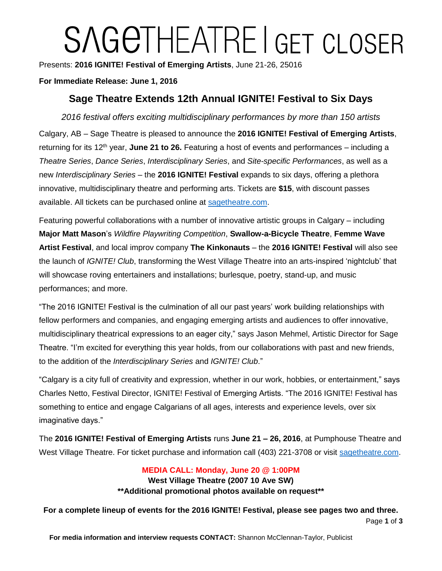# SAGETHEATRE I GET CLOSER

Presents: **2016 IGNITE! Festival of Emerging Artists**, June 21-26, 25016

## **For Immediate Release: June 1, 2016**

# **Sage Theatre Extends 12th Annual IGNITE! Festival to Six Days**

*2016 festival offers exciting multidisciplinary performances by more than 150 artists* 

Calgary, AB – Sage Theatre is pleased to announce the **2016 IGNITE! Festival of Emerging Artists**, returning for its 12<sup>th</sup> year, **June 21 to 26.** Featuring a host of events and performances – including a *Theatre Series*, *Dance Series*, *Interdisciplinary Series*, and *Site-specific Performances*, as well as a new *Interdisciplinary Series* – the **2016 IGNITE! Festival** expands to six days, offering a plethora innovative, multidisciplinary theatre and performing arts. Tickets are **\$15**, with discount passes available. All tickets can be purchased online at [sagetheatre.com.](http://sagetheatre.com/)

Featuring powerful collaborations with a number of innovative artistic groups in Calgary – including **Major Matt Mason**'s *Wildfire Playwriting Competition*, **Swallow-a-Bicycle Theatre**, **Femme Wave Artist Festival**, and local improv company **The Kinkonauts** – the **2016 IGNITE! Festival** will also see the launch of *IGNITE! Club*, transforming the West Village Theatre into an arts-inspired 'nightclub' that will showcase roving entertainers and installations; burlesque, poetry, stand-up, and music performances; and more.

"The 2016 IGNITE! Festival is the culmination of all our past years' work building relationships with fellow performers and companies, and engaging emerging artists and audiences to offer innovative, multidisciplinary theatrical expressions to an eager city," says Jason Mehmel, Artistic Director for Sage Theatre. "I'm excited for everything this year holds, from our collaborations with past and new friends, to the addition of the *Interdisciplinary Series* and *IGNITE! Club*."

"Calgary is a city full of creativity and expression, whether in our work, hobbies, or entertainment," says Charles Netto, Festival Director, IGNITE! Festival of Emerging Artists. "The 2016 IGNITE! Festival has something to entice and engage Calgarians of all ages, interests and experience levels, over six imaginative days."

The **2016 IGNITE! Festival of Emerging Artists** runs **June 21 – 26, 2016**, at Pumphouse Theatre and West Village Theatre. For ticket purchase and information call (403) 221-3708 or visit [sagetheatre.com.](http://sagetheatre.com/)

## **MEDIA CALL: Monday, June 20 @ 1:00PM West Village Theatre (2007 10 Ave SW) \*\*Additional promotional photos available on request\*\***

Page **1** of **3 For a complete lineup of events for the 2016 IGNITE! Festival, please see pages two and three.**

**For media information and interview requests CONTACT:** Shannon McClennan-Taylor, Publicist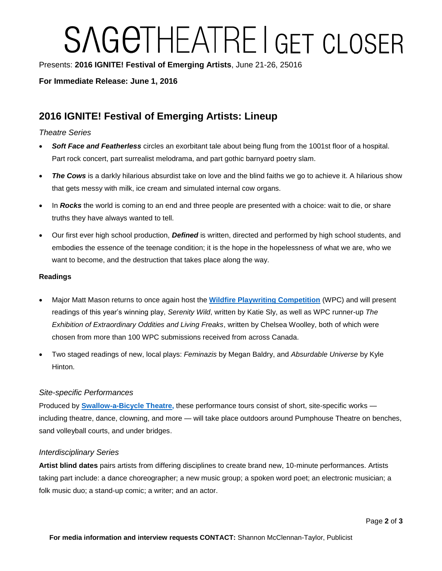# SAGETHEATRE I GET CLOSER

Presents: **2016 IGNITE! Festival of Emerging Artists**, June 21-26, 25016

### **For Immediate Release: June 1, 2016**

# **2016 IGNITE! Festival of Emerging Artists: Lineup**

#### *Theatre Series*

- *Soft Face and Featherless* circles an exorbitant tale about being flung from the 1001st floor of a hospital. Part rock concert, part surrealist melodrama, and part gothic barnyard poetry slam.
- The Cows is a darkly hilarious absurdist take on love and the blind faiths we go to achieve it. A hilarious show that gets messy with milk, ice cream and simulated internal cow organs.
- In *Rocks* the world is coming to an end and three people are presented with a choice: wait to die, or share truths they have always wanted to tell.
- Our first ever high school production, *Defined* is written, directed and performed by high school students, and embodies the essence of the teenage condition; it is the hope in the hopelessness of what we are, who we want to become, and the destruction that takes place along the way.

#### **Readings**

- Major Matt Mason returns to once again host the **[Wildfire Playwriting Competition](http://mmmtheatrecollective.com/wildfire/)** (WPC) and will present readings of this year's winning play, *Serenity Wild*, written by Katie Sly, as well as WPC runner-up *The Exhibition of Extraordinary Oddities and Living Freaks*, written by Chelsea Woolley, both of which were chosen from more than 100 WPC submissions received from across Canada.
- Two staged readings of new, local plays: *Feminazis* by Megan Baldry, and *Absurdable Universe* by Kyle Hinton.

#### *Site-specific Performances*

Produced by **[Swallow-a-Bicycle Theatre,](http://www.swallowabicycle.com/)** these performance tours consist of short, site-specific works including theatre, dance, clowning, and more — will take place outdoors around Pumphouse Theatre on benches, sand volleyball courts, and under bridges.

#### *Interdisciplinary Series*

**Artist blind dates** pairs artists from differing disciplines to create brand new, 10-minute performances. Artists taking part include: a dance choreographer; a new music group; a spoken word poet; an electronic musician; a folk music duo; a stand-up comic; a writer; and an actor.